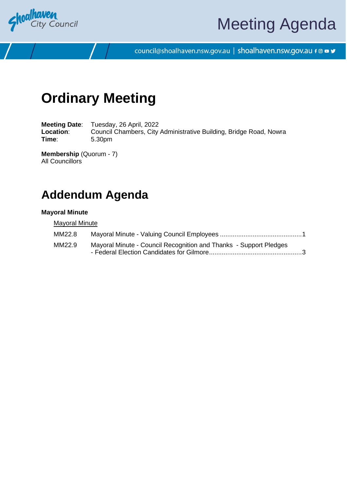

# Meeting Agenda

council@shoalhaven.nsw.gov.au | shoalhaven.nsw.gov.au f @ ■ y

## **Ordinary Meeting**

**Meeting Date**: Tuesday, 26 April, 2022 Location: Council Chambers, City Administrative Building, Bridge Road, Nowra **Time**: 5.30pm

**Membership** (Quorum - 7) All Councillors

## **Addendum Agenda**

#### **Mayoral Minute**

**Mayoral Minute** 

| MM22.8 |                                                                   |  |
|--------|-------------------------------------------------------------------|--|
| MM22.9 | Mayoral Minute - Council Recognition and Thanks - Support Pledges |  |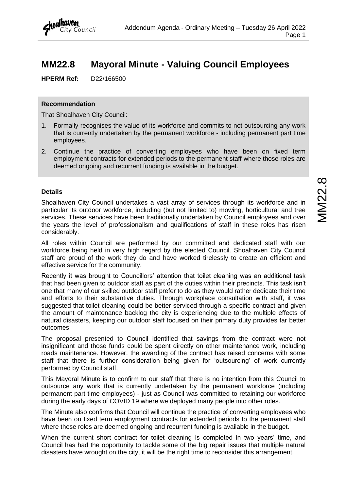### <span id="page-1-0"></span>**MM22.8 Mayoral Minute - Valuing Council Employees**

**HPERM Ref:** D22/166500

City Council

#### **Recommendation**

That Shoalhaven City Council:

- 1. Formally recognises the value of its workforce and commits to not outsourcing any work that is currently undertaken by the permanent workforce - including permanent part time employees.
- 2. Continue the practice of converting employees who have been on fixed term employment contracts for extended periods to the permanent staff where those roles are deemed ongoing and recurrent funding is available in the budget.

#### **Details**

Shoalhaven City Council undertakes a vast array of services through its workforce and in particular its outdoor workforce, including (but not limited to) mowing, horticultural and tree services. These services have been traditionally undertaken by Council employees and over the years the level of professionalism and qualifications of staff in these roles has risen considerably.

All roles within Council are performed by our committed and dedicated staff with our workforce being held in very high regard by the elected Council. Shoalhaven City Council staff are proud of the work they do and have worked tirelessly to create an efficient and effective service for the community.

Recently it was brought to Councillors' attention that toilet cleaning was an additional task that had been given to outdoor staff as part of the duties within their precincts. This task isn't one that many of our skilled outdoor staff prefer to do as they would rather dedicate their time and efforts to their substantive duties. Through workplace consultation with staff, it was suggested that toilet cleaning could be better serviced through a specific contract and given the amount of maintenance backlog the city is experiencing due to the multiple effects of natural disasters, keeping our outdoor staff focused on their primary duty provides far better outcomes.

The proposal presented to Council identified that savings from the contract were not insignificant and those funds could be spent directly on other maintenance work, including roads maintenance. However, the awarding of the contract has raised concerns with some staff that there is further consideration being given for 'outsourcing' of work currently performed by Council staff.

This Mayoral Minute is to confirm to our staff that there is no intention from this Council to outsource any work that is currently undertaken by the permanent workforce (including permanent part time employees) - just as Council was committed to retaining our workforce during the early days of COVID 19 where we deployed many people into other roles.

The Minute also confirms that Council will continue the practice of converting employees who have been on fixed term employment contracts for extended periods to the permanent staff where those roles are deemed ongoing and recurrent funding is available in the budget.

When the current short contract for toilet cleaning is completed in two years' time, and Council has had the opportunity to tackle some of the big repair issues that multiple natural disasters have wrought on the city, it will be the right time to reconsider this arrangement.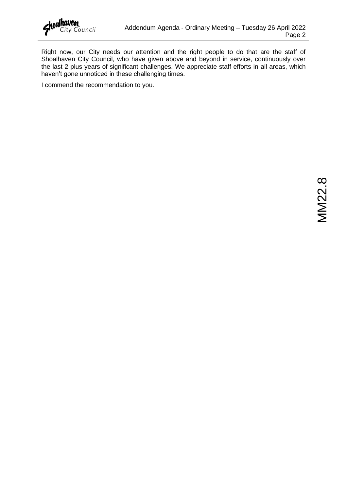

Right now, our City needs our attention and the right people to do that are the staff of Shoalhaven City Council, who have given above and beyond in service, continuously over the last 2 plus years of significant challenges. We appreciate staff efforts in all areas, which haven't gone unnoticed in these challenging times.

I commend the recommendation to you.